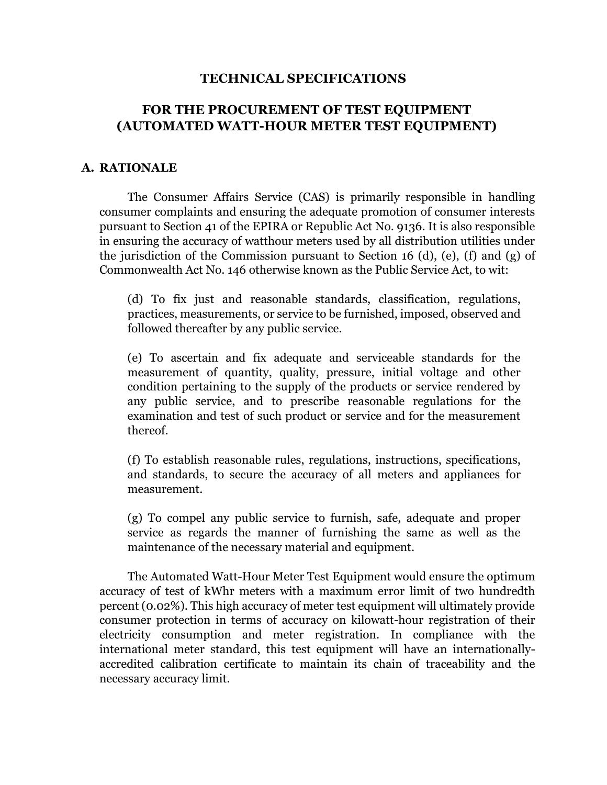### **TECHNICAL SPECIFICATIONS**

# **FOR THE PROCUREMENT OF TEST EQUIPMENT (AUTOMATED WATT-HOUR METER TEST EQUIPMENT)**

#### **A. RATIONALE**

The Consumer Affairs Service (CAS) is primarily responsible in handling consumer complaints and ensuring the adequate promotion of consumer interests pursuant to Section 41 of the EPIRA or Republic Act No. 9136. It is also responsible in ensuring the accuracy of watthour meters used by all distribution utilities under the jurisdiction of the Commission pursuant to Section 16 (d), (e), (f) and (g) of Commonwealth Act No. 146 otherwise known as the Public Service Act, to wit:

(d) To fix just and reasonable standards, classification, regulations, practices, measurements, or service to be furnished, imposed, observed and followed thereafter by any public service.

(e) To ascertain and fix adequate and serviceable standards for the measurement of quantity, quality, pressure, initial voltage and other condition pertaining to the supply of the products or service rendered by any public service, and to prescribe reasonable regulations for the examination and test of such product or service and for the measurement thereof.

(f) To establish reasonable rules, regulations, instructions, specifications, and standards, to secure the accuracy of all meters and appliances for measurement.

(g) To compel any public service to furnish, safe, adequate and proper service as regards the manner of furnishing the same as well as the maintenance of the necessary material and equipment.

The Automated Watt-Hour Meter Test Equipment would ensure the optimum accuracy of test of kWhr meters with a maximum error limit of two hundredth percent (0.02%). This high accuracy of meter test equipment will ultimately provide consumer protection in terms of accuracy on kilowatt-hour registration of their electricity consumption and meter registration. In compliance with the international meter standard, this test equipment will have an internationallyaccredited calibration certificate to maintain its chain of traceability and the necessary accuracy limit.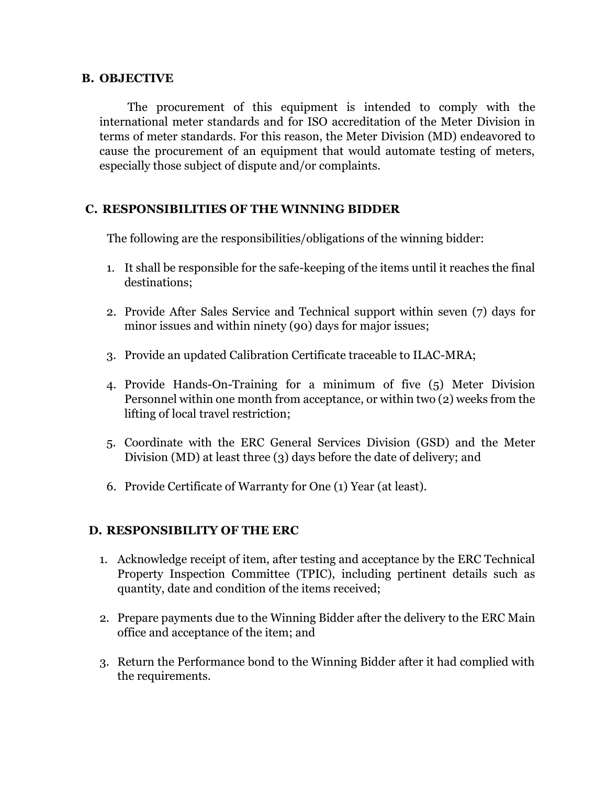### **B. OBJECTIVE**

The procurement of this equipment is intended to comply with the international meter standards and for ISO accreditation of the Meter Division in terms of meter standards. For this reason, the Meter Division (MD) endeavored to cause the procurement of an equipment that would automate testing of meters, especially those subject of dispute and/or complaints.

### **C. RESPONSIBILITIES OF THE WINNING BIDDER**

The following are the responsibilities/obligations of the winning bidder:

- 1. It shall be responsible for the safe-keeping of the items until it reaches the final destinations;
- 2. Provide After Sales Service and Technical support within seven (7) days for minor issues and within ninety (90) days for major issues;
- 3. Provide an updated Calibration Certificate traceable to ILAC-MRA;
- 4. Provide Hands-On-Training for a minimum of five (5) Meter Division Personnel within one month from acceptance, or within two (2) weeks from the lifting of local travel restriction;
- 5. Coordinate with the ERC General Services Division (GSD) and the Meter Division (MD) at least three (3) days before the date of delivery; and
- 6. Provide Certificate of Warranty for One (1) Year (at least).

### **D. RESPONSIBILITY OF THE ERC**

- 1. Acknowledge receipt of item, after testing and acceptance by the ERC Technical Property Inspection Committee (TPIC), including pertinent details such as quantity, date and condition of the items received;
- 2. Prepare payments due to the Winning Bidder after the delivery to the ERC Main office and acceptance of the item; and
- 3. Return the Performance bond to the Winning Bidder after it had complied with the requirements.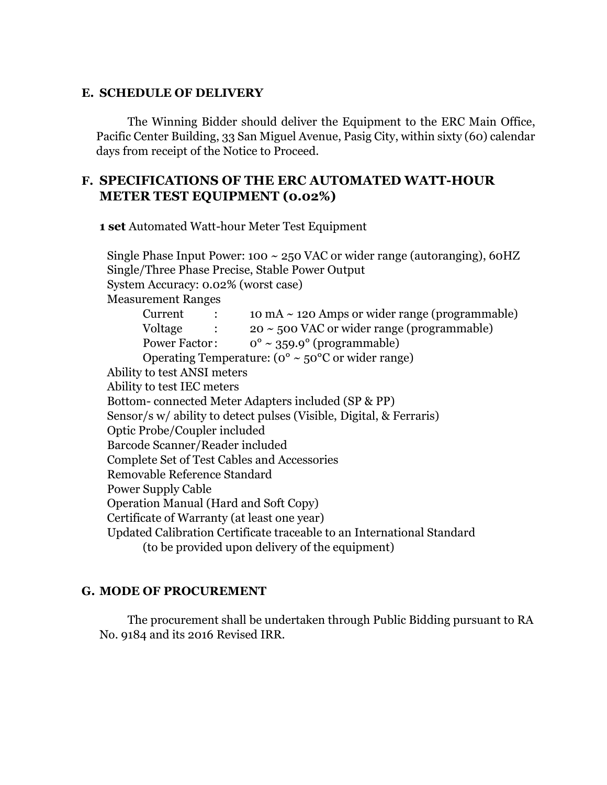#### **E. SCHEDULE OF DELIVERY**

The Winning Bidder should deliver the Equipment to the ERC Main Office, Pacific Center Building, 33 San Miguel Avenue, Pasig City, within sixty (60) calendar days from receipt of the Notice to Proceed.

# **F. SPECIFICATIONS OF THE ERC AUTOMATED WATT-HOUR METER TEST EQUIPMENT (0.02%)**

**1 set** Automated Watt-hour Meter Test Equipment

| Single Phase Input Power: 100 $\sim$ 250 VAC or wider range (autoranging), 60HZ            |  |
|--------------------------------------------------------------------------------------------|--|
| Single/Three Phase Precise, Stable Power Output                                            |  |
| System Accuracy: 0.02% (worst case)                                                        |  |
| <b>Measurement Ranges</b>                                                                  |  |
| 10 mA $\sim$ 120 Amps or wider range (programmable)<br>Current<br>$\sim 1000$ km s $^{-1}$ |  |
| Voltage $\therefore$ 20 ~ 500 VAC or wider range (programmable)                            |  |
| Power Factor: $0^{\circ} \sim 359.9^{\circ}$ (programmable)                                |  |
| Operating Temperature: ( $0^{\circ} \sim 50^{\circ}$ C or wider range)                     |  |
| Ability to test ANSI meters                                                                |  |
| Ability to test IEC meters                                                                 |  |
| Bottom-connected Meter Adapters included (SP & PP)                                         |  |
| Sensor/s w/ ability to detect pulses (Visible, Digital, & Ferraris)                        |  |
| Optic Probe/Coupler included                                                               |  |
| Barcode Scanner/Reader included                                                            |  |
| Complete Set of Test Cables and Accessories                                                |  |
| Removable Reference Standard                                                               |  |
| <b>Power Supply Cable</b>                                                                  |  |
| <b>Operation Manual (Hard and Soft Copy)</b>                                               |  |
| Certificate of Warranty (at least one year)                                                |  |
| Updated Calibration Certificate traceable to an International Standard                     |  |
| (to be provided upon delivery of the equipment)                                            |  |

## **G. MODE OF PROCUREMENT**

The procurement shall be undertaken through Public Bidding pursuant to RA No. 9184 and its 2016 Revised IRR.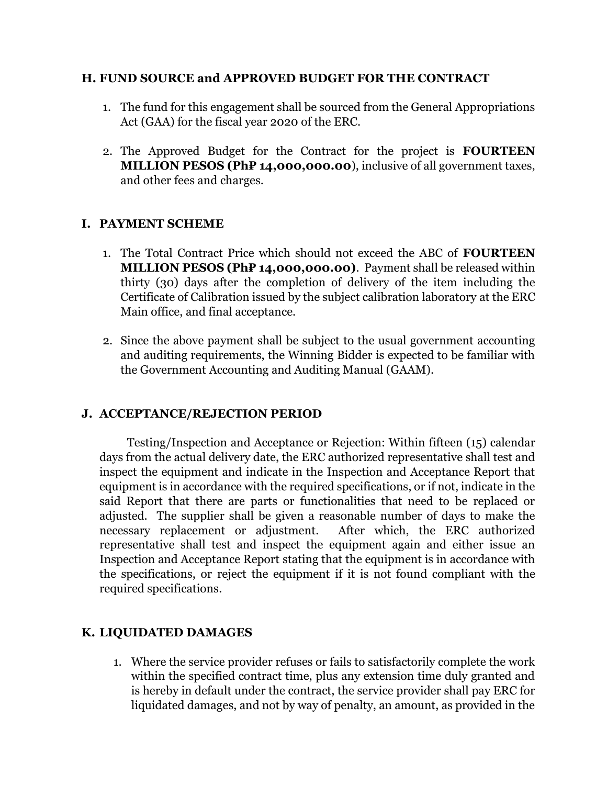## **H. FUND SOURCE and APPROVED BUDGET FOR THE CONTRACT**

- 1. The fund for this engagement shall be sourced from the General Appropriations Act (GAA) for the fiscal year 2020 of the ERC.
- 2. The Approved Budget for the Contract for the project is **FOURTEEN MILLION PESOS (Ph₽ 14,000,000.00**), inclusive of all government taxes, and other fees and charges.

# **I. PAYMENT SCHEME**

- 1. The Total Contract Price which should not exceed the ABC of **FOURTEEN MILLION PESOS (Ph₽ 14,000,000.00)**. Payment shall be released within thirty (30) days after the completion of delivery of the item including the Certificate of Calibration issued by the subject calibration laboratory at the ERC Main office, and final acceptance.
- 2. Since the above payment shall be subject to the usual government accounting and auditing requirements, the Winning Bidder is expected to be familiar with the Government Accounting and Auditing Manual (GAAM).

# **J. ACCEPTANCE/REJECTION PERIOD**

Testing/Inspection and Acceptance or Rejection: Within fifteen (15) calendar days from the actual delivery date, the ERC authorized representative shall test and inspect the equipment and indicate in the Inspection and Acceptance Report that equipment is in accordance with the required specifications, or if not, indicate in the said Report that there are parts or functionalities that need to be replaced or adjusted. The supplier shall be given a reasonable number of days to make the necessary replacement or adjustment. After which, the ERC authorized representative shall test and inspect the equipment again and either issue an Inspection and Acceptance Report stating that the equipment is in accordance with the specifications, or reject the equipment if it is not found compliant with the required specifications.

# **K. LIQUIDATED DAMAGES**

1. Where the service provider refuses or fails to satisfactorily complete the work within the specified contract time, plus any extension time duly granted and is hereby in default under the contract, the service provider shall pay ERC for liquidated damages, and not by way of penalty, an amount, as provided in the